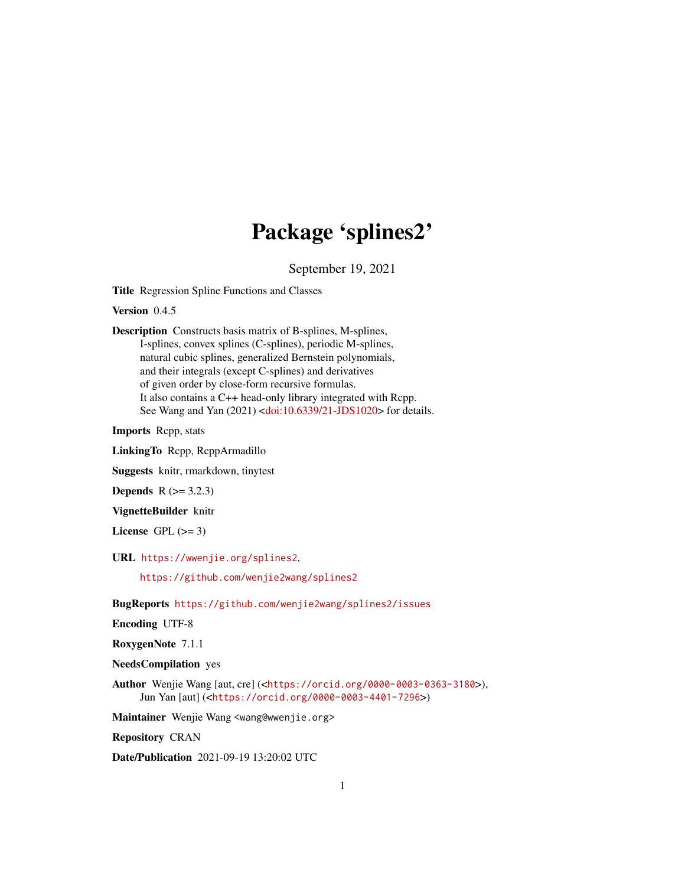# Package 'splines2'

September 19, 2021

Title Regression Spline Functions and Classes

Version 0.4.5

Description Constructs basis matrix of B-splines, M-splines, I-splines, convex splines (C-splines), periodic M-splines, natural cubic splines, generalized Bernstein polynomials, and their integrals (except C-splines) and derivatives of given order by close-form recursive formulas. It also contains a C++ head-only library integrated with Rcpp. See Wang and Yan (2021) [<doi:10.6339/21-JDS1020>](https://doi.org/10.6339/21-JDS1020) for details.

Imports Rcpp, stats

LinkingTo Rcpp, RcppArmadillo

Suggests knitr, rmarkdown, tinytest

**Depends**  $R$  ( $> = 3.2.3$ )

VignetteBuilder knitr

License GPL  $(>= 3)$ 

URL <https://wwenjie.org/splines2>,

<https://github.com/wenjie2wang/splines2>

BugReports <https://github.com/wenjie2wang/splines2/issues>

Encoding UTF-8

RoxygenNote 7.1.1

NeedsCompilation yes

Author Wenjie Wang [aut, cre] (<<https://orcid.org/0000-0003-0363-3180>>), Jun Yan [aut] (<<https://orcid.org/0000-0003-4401-7296>>)

Maintainer Wenjie Wang <wang@wwenjie.org>

Repository CRAN

Date/Publication 2021-09-19 13:20:02 UTC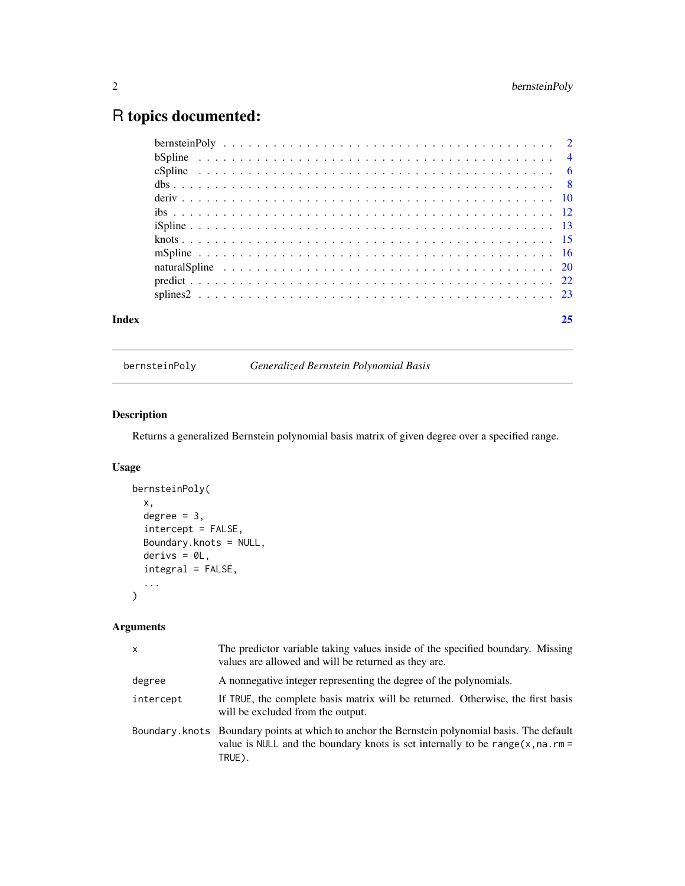## <span id="page-1-0"></span>R topics documented:

| Index |  |  |  |  |  |  |  |  |  |  |  |  |  |  |  |  | 25 |
|-------|--|--|--|--|--|--|--|--|--|--|--|--|--|--|--|--|----|
|       |  |  |  |  |  |  |  |  |  |  |  |  |  |  |  |  |    |
|       |  |  |  |  |  |  |  |  |  |  |  |  |  |  |  |  |    |
|       |  |  |  |  |  |  |  |  |  |  |  |  |  |  |  |  |    |
|       |  |  |  |  |  |  |  |  |  |  |  |  |  |  |  |  |    |
|       |  |  |  |  |  |  |  |  |  |  |  |  |  |  |  |  |    |
|       |  |  |  |  |  |  |  |  |  |  |  |  |  |  |  |  |    |
|       |  |  |  |  |  |  |  |  |  |  |  |  |  |  |  |  |    |
|       |  |  |  |  |  |  |  |  |  |  |  |  |  |  |  |  |    |
|       |  |  |  |  |  |  |  |  |  |  |  |  |  |  |  |  |    |
|       |  |  |  |  |  |  |  |  |  |  |  |  |  |  |  |  |    |
|       |  |  |  |  |  |  |  |  |  |  |  |  |  |  |  |  |    |
|       |  |  |  |  |  |  |  |  |  |  |  |  |  |  |  |  |    |

bernsteinPoly *Generalized Bernstein Polynomial Basis*

### Description

Returns a generalized Bernstein polynomial basis matrix of given degree over a specified range.

#### Usage

```
bernsteinPoly(
  x,
  degree = 3,
  intercept = FALSE,
  Boundary.knots = NULL,
  derivs = 0L,
  integral = FALSE,
  ...
\mathcal{L}
```

| $\mathsf{x}$ | The predictor variable taking values inside of the specified boundary. Missing<br>values are allowed and will be returned as they are.                                                        |
|--------------|-----------------------------------------------------------------------------------------------------------------------------------------------------------------------------------------------|
| degree       | A nonnegative integer representing the degree of the polynomials.                                                                                                                             |
| intercept    | If TRUE, the complete basis matrix will be returned. Otherwise, the first basis<br>will be excluded from the output.                                                                          |
|              | Boundary. knots Boundary points at which to anchor the Bernstein polynomial basis. The default<br>value is NULL and the boundary knots is set internally to be range $(x, na, rm =$<br>TRUE). |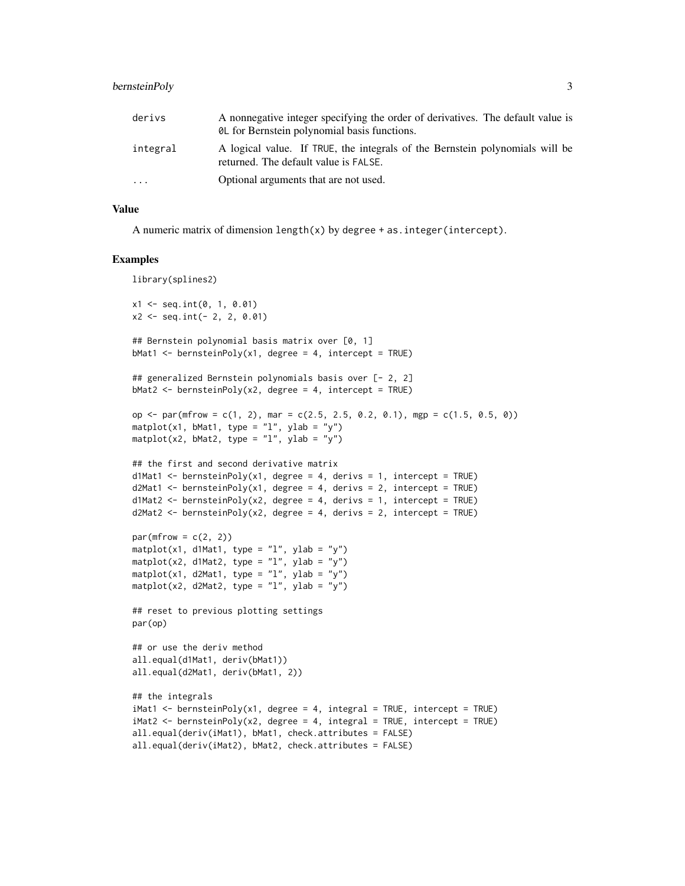### bernsteinPoly 3

| derivs   | A nonnegative integer specifying the order of derivatives. The default value is<br><b>QL</b> for Bernstein polynomial basis functions. |
|----------|----------------------------------------------------------------------------------------------------------------------------------------|
| integral | A logical value. If TRUE, the integrals of the Bernstein polynomials will be<br>returned. The default value is FALSE.                  |
| .        | Optional arguments that are not used.                                                                                                  |

#### Value

A numeric matrix of dimension length(x) by degree + as.integer(intercept).

```
library(splines2)
x1 \leq - seq.int(0, 1, 0.01)
x2 \le - seq.int(- 2, 2, 0.01)
## Bernstein polynomial basis matrix over [0, 1]
bMat1 <- bernsteinPoly(x1, degree = 4, intercept = TRUE)
## generalized Bernstein polynomials basis over [- 2, 2]
bMat2 <- bernsteinPoly(x2, degree = 4, intercept = TRUE)
op \le par(mfrow = c(1, 2), mar = c(2.5, 2.5, 0.2, 0.1), mgp = c(1.5, 0.5, 0))
matplot(x1, bMat1, type = "1", ylab = "y")
matplot(x2, bMat2, type = "1", ylab = "y")
## the first and second derivative matrix
d1Mat1 <- bernsteinPoly(x1, degree = 4, derivs = 1, intercept = TRUE)
d2Mat1 \leftarrow \text{bernsteinPoly}(x1, \text{ degree = } 4, \text{ derives = } 2, \text{ intercept = TRUE})d1Mat2 <- bernsteinPoly(x2, degree = 4, derivs = 1, intercept = TRUE)
d2Mat2 \leq - \text{bensteinPoly}(x2, \text{ degree = 4}, \text{ derives = 2}, \text{intercept = TRUE})par(mfrow = c(2, 2))matplot(x1, d1Mat1, type = "l", ylab = "y")
matplot(x2, d1Mat2, type = "l", ylab = "y")
matplot(x1, d2Mat1, type = "l", ylab = "y")
matplot(x2, d2Mat2, type = "l", ylab = "y")
## reset to previous plotting settings
par(op)
## or use the deriv method
all.equal(d1Mat1, deriv(bMat1))
all.equal(d2Mat1, deriv(bMat1, 2))
## the integrals
iMat1 <- bernsteinPoly(x1, degree = 4, integral = TRUE, intercept = TRUE)
iMat2 <- bernsteinPoly(x2, degree = 4, integral = TRUE, intercept = TRUE)
all.equal(deriv(iMat1), bMat1, check.attributes = FALSE)
all.equal(deriv(iMat2), bMat2, check.attributes = FALSE)
```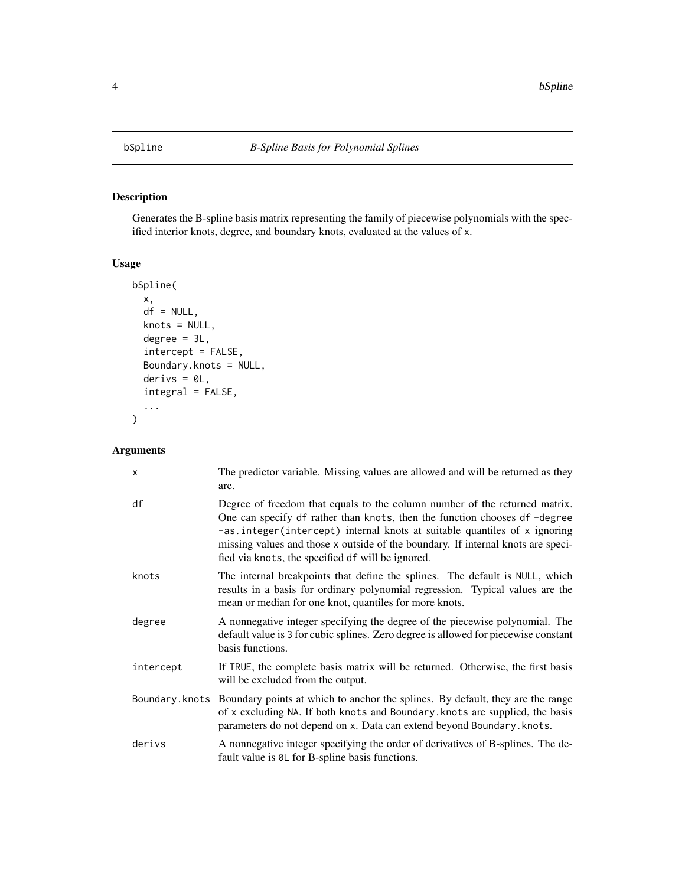Generates the B-spline basis matrix representing the family of piecewise polynomials with the specified interior knots, degree, and boundary knots, evaluated at the values of x.

#### Usage

```
bSpline(
  x,
 df = NULL,knots = NULL,
 degree = 3L,
  intercept = FALSE,
 Boundary.knots = NULL,
 derivs = 0L,
  integral = FALSE,
  ...
)
```

| $\times$  | The predictor variable. Missing values are allowed and will be returned as they<br>are.                                                                                                                                                                                                                                                                                       |
|-----------|-------------------------------------------------------------------------------------------------------------------------------------------------------------------------------------------------------------------------------------------------------------------------------------------------------------------------------------------------------------------------------|
| df        | Degree of freedom that equals to the column number of the returned matrix.<br>One can specify df rather than knots, then the function chooses df-degree<br>-as.integer(intercept) internal knots at suitable quantiles of x ignoring<br>missing values and those x outside of the boundary. If internal knots are speci-<br>fied via knots, the specified df will be ignored. |
| knots     | The internal breakpoints that define the splines. The default is NULL, which<br>results in a basis for ordinary polynomial regression. Typical values are the<br>mean or median for one knot, quantiles for more knots.                                                                                                                                                       |
| degree    | A nonnegative integer specifying the degree of the piecewise polynomial. The<br>default value is 3 for cubic splines. Zero degree is allowed for piecewise constant<br>basis functions.                                                                                                                                                                                       |
| intercept | If TRUE, the complete basis matrix will be returned. Otherwise, the first basis<br>will be excluded from the output.                                                                                                                                                                                                                                                          |
|           | Boundary. knots Boundary points at which to anchor the splines. By default, they are the range<br>of x excluding NA. If both knots and Boundary. knots are supplied, the basis<br>parameters do not depend on x. Data can extend beyond Boundary. knots.                                                                                                                      |
| derivs    | A nonnegative integer specifying the order of derivatives of B-splines. The de-<br>fault value is $\&$ L for B-spline basis functions.                                                                                                                                                                                                                                        |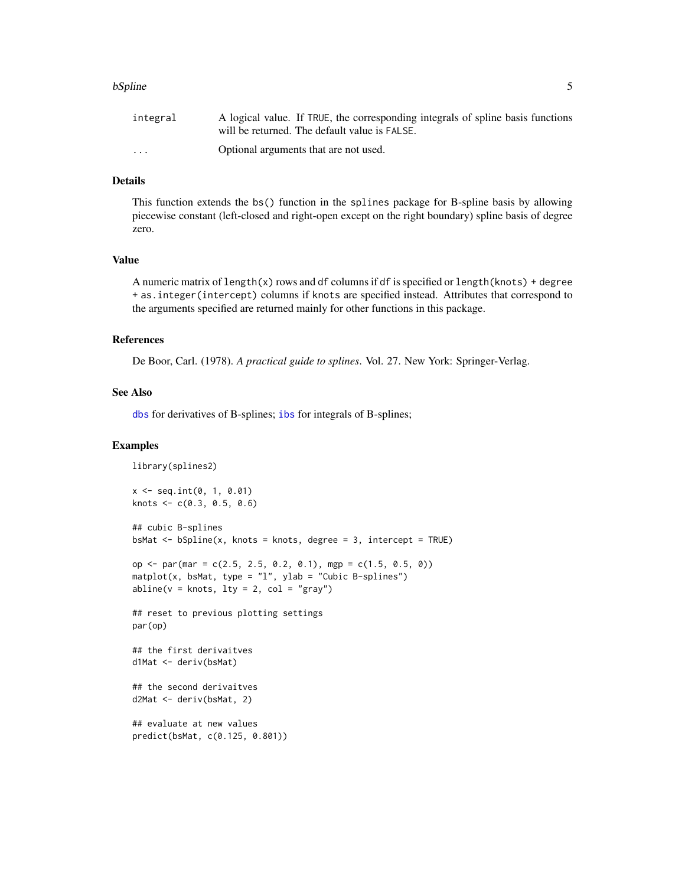#### <span id="page-4-0"></span>bSpline 5

| integral                | A logical value. If TRUE, the corresponding integrals of spline basis functions |
|-------------------------|---------------------------------------------------------------------------------|
|                         | will be returned. The default value is FALSE.                                   |
| $\cdot$ $\cdot$ $\cdot$ | Optional arguments that are not used.                                           |

#### Details

This function extends the bs() function in the splines package for B-spline basis by allowing piecewise constant (left-closed and right-open except on the right boundary) spline basis of degree zero.

#### Value

A numeric matrix of length(x) rows and df columns if df is specified or length(knots) + degree + as.integer(intercept) columns if knots are specified instead. Attributes that correspond to the arguments specified are returned mainly for other functions in this package.

#### References

De Boor, Carl. (1978). *A practical guide to splines*. Vol. 27. New York: Springer-Verlag.

#### See Also

[dbs](#page-7-1) for derivatives of B-splines; [ibs](#page-11-1) for integrals of B-splines;

```
library(splines2)
x <- seq.int(0, 1, 0.01)
knots \leq c(0.3, 0.5, 0.6)## cubic B-splines
bsMat <- bSpline(x, knots = knots, degree = 3, intercept = TRUE)
op <- par(mar = c(2.5, 2.5, 0.2, 0.1), mgp = c(1.5, 0.5, 0))
mathot(x, bshat, type = "l", ylab = "Cubic B-splines")abline(v = knots, lty = 2, col = "gray")## reset to previous plotting settings
par(op)
## the first derivaitves
d1Mat <- deriv(bsMat)
## the second derivaitves
d2Mat <- deriv(bsMat, 2)
## evaluate at new values
predict(bsMat, c(0.125, 0.801))
```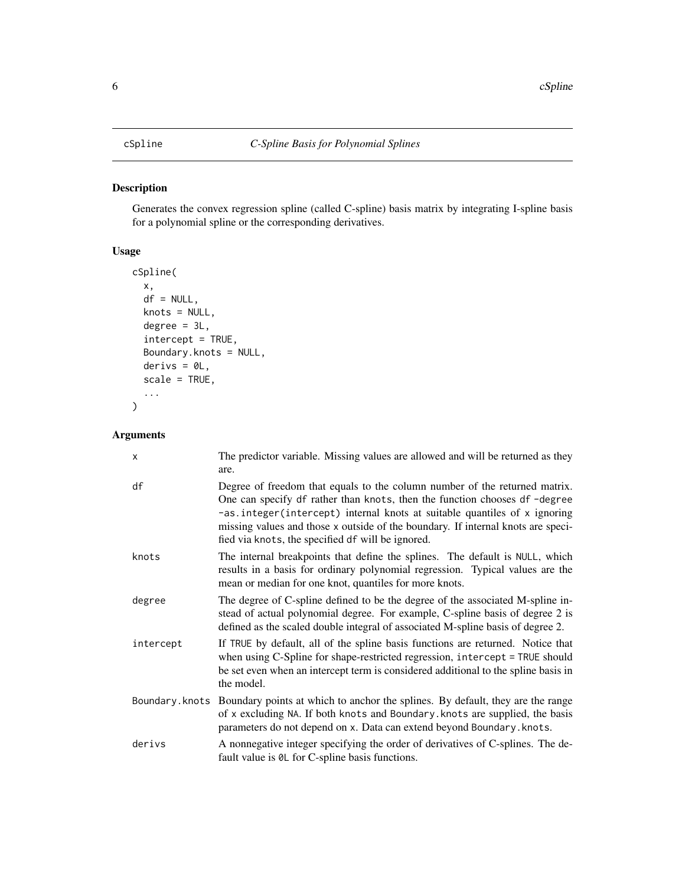<span id="page-5-1"></span><span id="page-5-0"></span>Generates the convex regression spline (called C-spline) basis matrix by integrating I-spline basis for a polynomial spline or the corresponding derivatives.

#### Usage

```
cSpline(
  x,
  df = NULL,knots = NULL,
  degree = 3L,
  intercept = TRUE,
  Boundary.knots = NULL,
  derivs = \thetaL,
  scale = TRUE,
   ...
\overline{\phantom{a}}
```

| X         | The predictor variable. Missing values are allowed and will be returned as they<br>are.                                                                                                                                                                                                                                                                                       |
|-----------|-------------------------------------------------------------------------------------------------------------------------------------------------------------------------------------------------------------------------------------------------------------------------------------------------------------------------------------------------------------------------------|
| df        | Degree of freedom that equals to the column number of the returned matrix.<br>One can specify df rather than knots, then the function chooses df-degree<br>-as.integer(intercept) internal knots at suitable quantiles of x ignoring<br>missing values and those x outside of the boundary. If internal knots are speci-<br>fied via knots, the specified of will be ignored. |
| knots     | The internal breakpoints that define the splines. The default is NULL, which<br>results in a basis for ordinary polynomial regression. Typical values are the<br>mean or median for one knot, quantiles for more knots.                                                                                                                                                       |
| degree    | The degree of C-spline defined to be the degree of the associated M-spline in-<br>stead of actual polynomial degree. For example, C-spline basis of degree 2 is<br>defined as the scaled double integral of associated M-spline basis of degree 2.                                                                                                                            |
| intercept | If TRUE by default, all of the spline basis functions are returned. Notice that<br>when using C-Spline for shape-restricted regression, intercept = TRUE should<br>be set even when an intercept term is considered additional to the spline basis in<br>the model.                                                                                                           |
|           | Boundary. knots Boundary points at which to anchor the splines. By default, they are the range<br>of x excluding NA. If both knots and Boundary. knots are supplied, the basis<br>parameters do not depend on x. Data can extend beyond Boundary. knots.                                                                                                                      |
| derivs    | A nonnegative integer specifying the order of derivatives of C-splines. The de-<br>fault value is $\theta$ L for C-spline basis functions.                                                                                                                                                                                                                                    |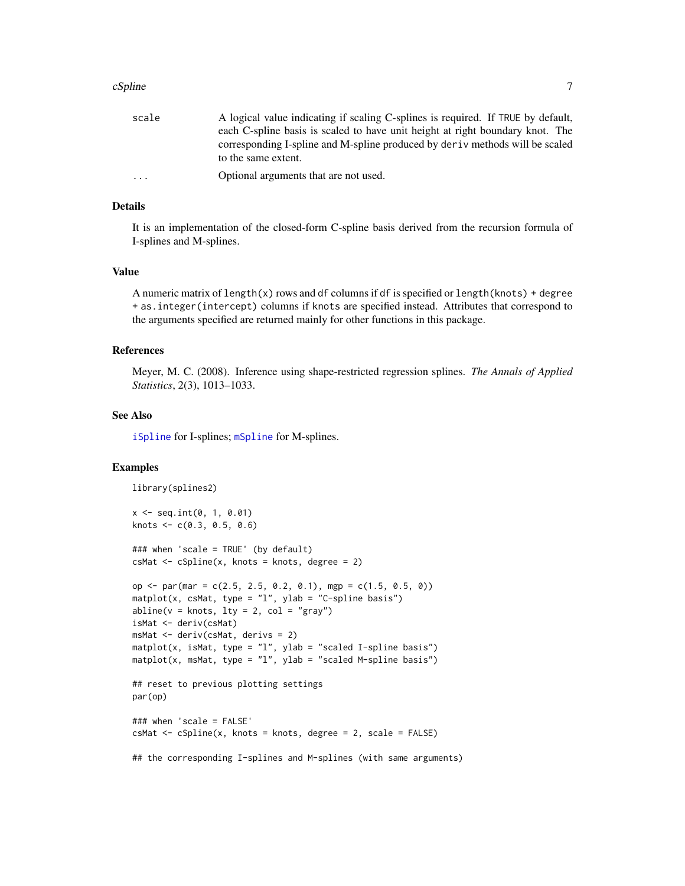#### <span id="page-6-0"></span> $cSpline$   $7$

| A logical value indicating if scaling C-splines is required. If TRUE by default, |
|----------------------------------------------------------------------------------|
| each C-spline basis is scaled to have unit height at right boundary knot. The    |
| corresponding I-spline and M-spline produced by derivemethods will be scaled     |
| to the same extent.                                                              |
| Optional arguments that are not used.                                            |
|                                                                                  |

#### Details

It is an implementation of the closed-form C-spline basis derived from the recursion formula of I-splines and M-splines.

#### Value

A numeric matrix of length(x) rows and df columns if df is specified or length(knots) + degree + as.integer(intercept) columns if knots are specified instead. Attributes that correspond to the arguments specified are returned mainly for other functions in this package.

#### References

Meyer, M. C. (2008). Inference using shape-restricted regression splines. *The Annals of Applied Statistics*, 2(3), 1013–1033.

#### See Also

[iSpline](#page-12-1) for I-splines; [mSpline](#page-15-1) for M-splines.

```
library(splines2)
x \le - seq.int(0, 1, 0.01)
knots \leq c(0.3, 0.5, 0.6)### when 'scale = TRUE' (by default)
csMat \leq cSplitine(x, knots = knots, degree = 2)op <- par(mar = c(2.5, 2.5, 0.2, 0.1), mgp = c(1.5, 0.5, 0))
\text{matplot}(x, \text{csMat}, \text{type} = "l", \text{ylab} = "C\text{-splite}abline(v = knots, lty = 2, col = "gray")isMat <- deriv(csMat)
msMat <- deriv(csMat, derivs = 2)
mathot(x, isMat, type = "l", ylab = "scaled I-spline basis")mathot(x, mshat, type = "l", ylab = "scaled M-spline basis")## reset to previous plotting settings
par(op)
### when 'scale = FALSE'
csMat <- cSpline(x, knots = knots, degree = 2, scale = FALSE)
## the corresponding I-splines and M-splines (with same arguments)
```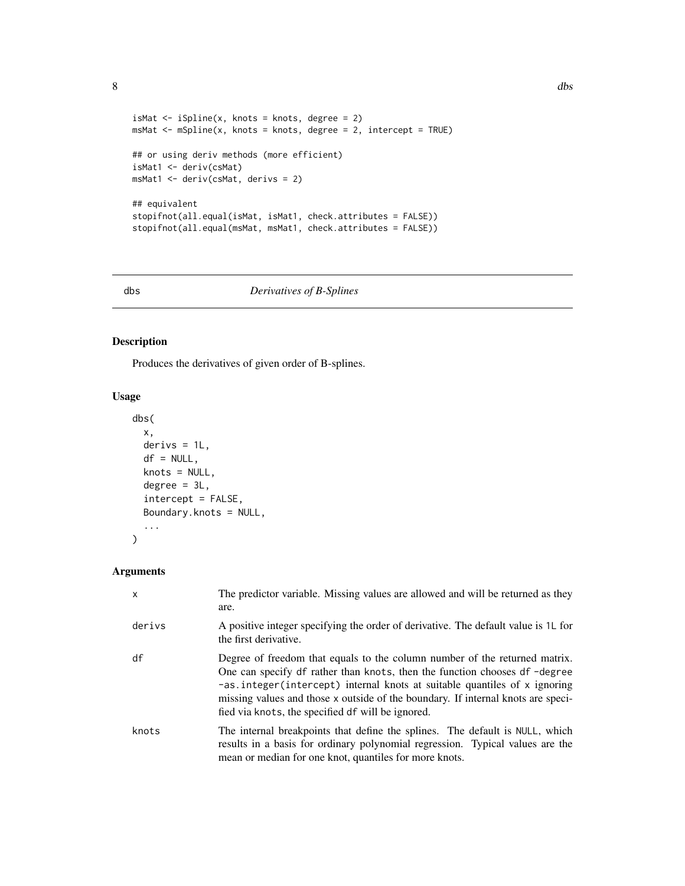```
8 dbs = 0.0 dbs = 0.0 dbs = 0.0 dbs = 0.0 dbs = 0.0 dbs = 0.0 dbs = 0.0 dbs = 0.0 dbs = 0.0 dbs = 0.0 dbs = 0.0 dbs = 0.0 dbs = 0.0 dbs = 0.0 dbs = 0.0 dbs = 0.0 dbs = 0.0 dbs = 0.0 dbs = 0.0 dbs = 0.0 dbs = 0.0 dbs = 0.0
```

```
isMat \leq iSpline(x, knots = knots, degree = 2)
msMat <- mSpline(x, knots = knots, degree = 2, intercept = TRUE)
## or using deriv methods (more efficient)
isMat1 <- deriv(csMat)
msMat1 <- deriv(csMat, derivs = 2)
## equivalent
stopifnot(all.equal(isMat, isMat1, check.attributes = FALSE))
stopifnot(all.equal(msMat, msMat1, check.attributes = FALSE))
```
<span id="page-7-1"></span>

#### dbs *Derivatives of B-Splines*

#### Description

Produces the derivatives of given order of B-splines.

#### Usage

```
dbs(
 x,
 derivs = 1L,
 df = NULL,knots = NULL,
 degree = 3L,
  intercept = FALSE,
 Boundary.knots = NULL,
  ...
)
```

| $\mathsf{x}$ | The predictor variable. Missing values are allowed and will be returned as they<br>are.                                                                                                                                                                                                                                                                                                  |
|--------------|------------------------------------------------------------------------------------------------------------------------------------------------------------------------------------------------------------------------------------------------------------------------------------------------------------------------------------------------------------------------------------------|
| derivs       | A positive integer specifying the order of derivative. The default value is 1L for<br>the first derivative.                                                                                                                                                                                                                                                                              |
| df           | Degree of freedom that equals to the column number of the returned matrix.<br>One can specify df rather than knots, then the function chooses df -degree<br>$-\text{as.integer}$ (intercept) internal knots at suitable quantiles of x ignoring<br>missing values and those x outside of the boundary. If internal knots are speci-<br>fied via knots, the specified df will be ignored. |
| knots        | The internal breakpoints that define the splines. The default is NULL, which<br>results in a basis for ordinary polynomial regression. Typical values are the<br>mean or median for one knot, quantiles for more knots.                                                                                                                                                                  |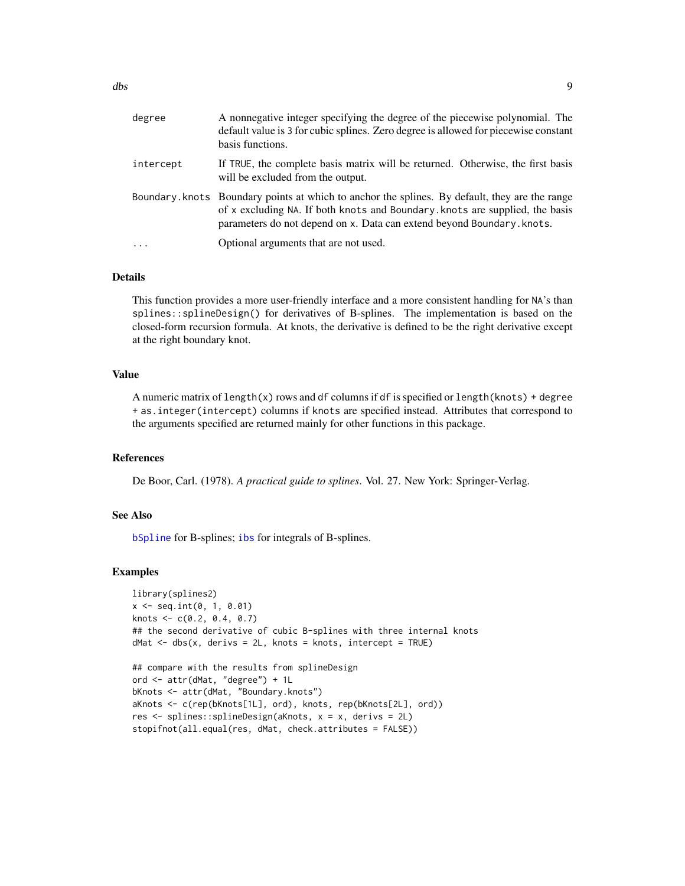<span id="page-8-0"></span>

| degree    | A nonnegative integer specifying the degree of the piecewise polynomial. The<br>default value is 3 for cubic splines. Zero degree is allowed for piecewise constant<br>basis functions.                                                                  |
|-----------|----------------------------------------------------------------------------------------------------------------------------------------------------------------------------------------------------------------------------------------------------------|
| intercept | If TRUE, the complete basis matrix will be returned. Otherwise, the first basis<br>will be excluded from the output.                                                                                                                                     |
|           | Boundary. knots Boundary points at which to anchor the splines. By default, they are the range<br>of x excluding NA. If both knots and Boundary. knots are supplied, the basis<br>parameters do not depend on x. Data can extend beyond Boundary. knots. |
| .         | Optional arguments that are not used.                                                                                                                                                                                                                    |

#### Details

This function provides a more user-friendly interface and a more consistent handling for NA's than splines::splineDesign() for derivatives of B-splines. The implementation is based on the closed-form recursion formula. At knots, the derivative is defined to be the right derivative except at the right boundary knot.

#### Value

A numeric matrix of length(x) rows and df columns if df is specified or length(knots) + degree + as.integer(intercept) columns if knots are specified instead. Attributes that correspond to the arguments specified are returned mainly for other functions in this package.

#### References

De Boor, Carl. (1978). *A practical guide to splines*. Vol. 27. New York: Springer-Verlag.

#### See Also

[bSpline](#page-3-1) for B-splines; [ibs](#page-11-1) for integrals of B-splines.

```
library(splines2)
x \le - seq.int(0, 1, 0.01)
knots <- c(0.2, 0.4, 0.7)
## the second derivative of cubic B-splines with three internal knots
dMat \leq dbs(x, derivs = 2L, knots = knots, intercept = TRUE)## compare with the results from splineDesign
ord <- attr(dMat, "degree") + 1L
bKnots <- attr(dMat, "Boundary.knots")
aKnots <- c(rep(bKnots[1L], ord), knots, rep(bKnots[2L], ord))
res <- splines::splineDesign(aKnots, x = x, derivs = 2L)
stopifnot(all.equal(res, dMat, check.attributes = FALSE))
```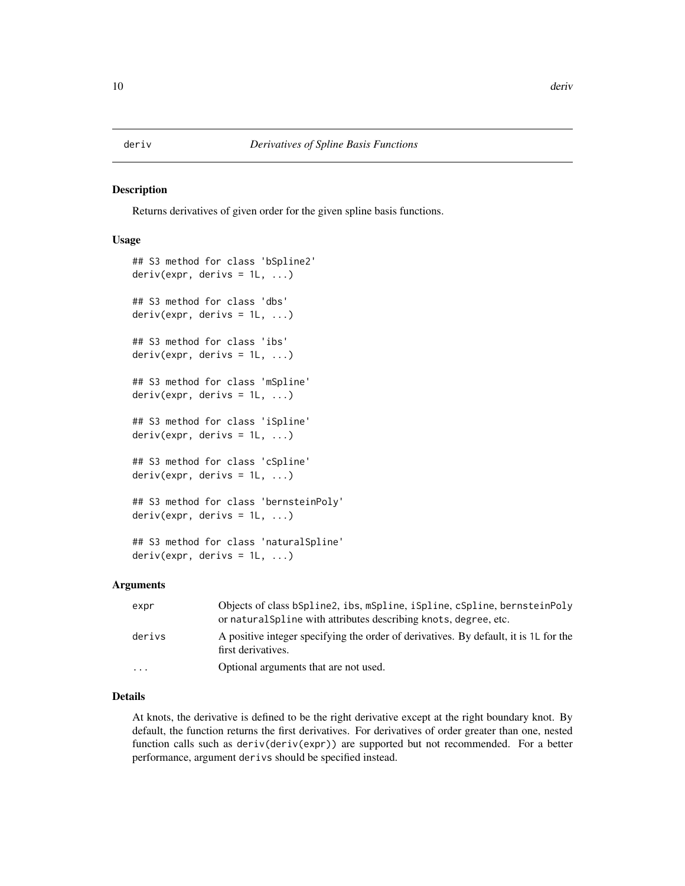<span id="page-9-0"></span>Returns derivatives of given order for the given spline basis functions.

#### Usage

```
## S3 method for class 'bSpline2'
deriv(expr, derivs = 1L, ...)## S3 method for class 'dbs'
deriv(exp, derivs = 1L, ...)## S3 method for class 'ibs'
deriv(expr, derivs = 1L, ...)
## S3 method for class 'mSpline'
deriv(exp, derivs = 1L, ...)## S3 method for class 'iSpline'
deriv(exp, derivs = 1L, ...)## S3 method for class 'cSpline'
deriv(exp, derivs = 1L, ...)## S3 method for class 'bernsteinPoly'
deriv(exp, derivs = 1L, ...)## S3 method for class 'naturalSpline'
deriv(exp, derivs = 1L, ...)
```
#### Arguments

| expr      | Objects of class bSpline2, ibs, mSpline, iSpline, cSpline, bernsteinPoly<br>or natural Spline with attributes describing knots, degree, etc. |
|-----------|----------------------------------------------------------------------------------------------------------------------------------------------|
| derivs    | A positive integer specifying the order of derivatives. By default, it is 1L for the<br>first derivatives.                                   |
| $\ddotsc$ | Optional arguments that are not used.                                                                                                        |

#### Details

At knots, the derivative is defined to be the right derivative except at the right boundary knot. By default, the function returns the first derivatives. For derivatives of order greater than one, nested function calls such as deriv(deriv(expr)) are supported but not recommended. For a better performance, argument derivs should be specified instead.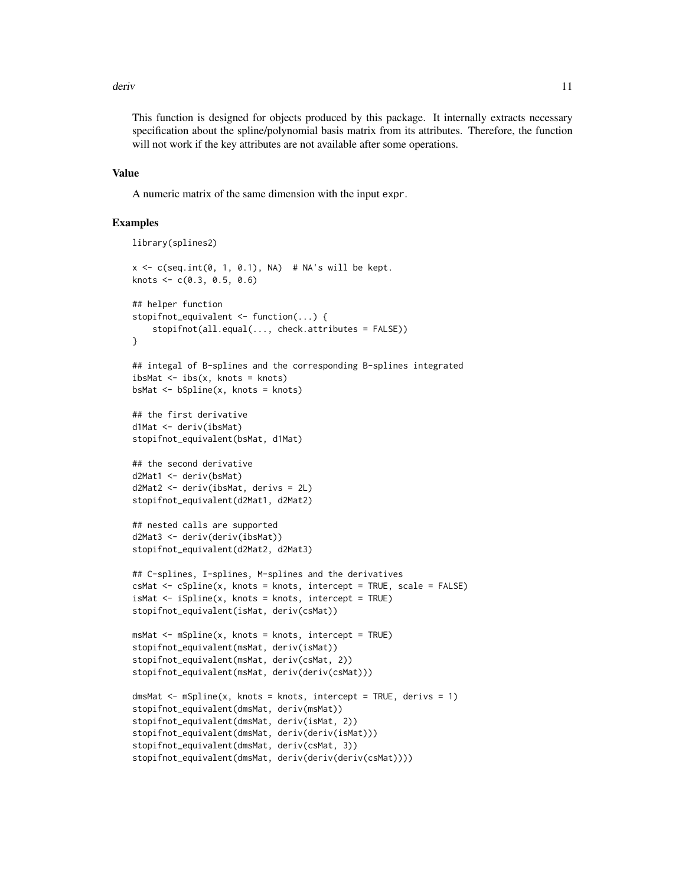#### deriv and the contract of the contract of the contract of the contract of the contract of the contract of the contract of the contract of the contract of the contract of the contract of the contract of the contract of the

This function is designed for objects produced by this package. It internally extracts necessary specification about the spline/polynomial basis matrix from its attributes. Therefore, the function will not work if the key attributes are not available after some operations.

#### Value

A numeric matrix of the same dimension with the input expr.

```
library(splines2)
x \leq c(\text{seq.int}(0, 1, 0.1), \text{NA}) # NA's will be kept.
knots \leq c(0.3, 0.5, 0.6)## helper function
stopifnot_equivalent <- function(...) {
    stopifnot(all.equal(..., check.attributes = FALSE))
}
## integal of B-splines and the corresponding B-splines integrated
ibsMat \leq - ibs(x, knots = knots)
bsMat <- bSpline(x, knots = knots)
## the first derivative
d1Mat <- deriv(ibsMat)
stopifnot_equivalent(bsMat, d1Mat)
## the second derivative
d2Mat1 <- deriv(bsMat)
d2Mat2 <- deriv(ibsMat, derivs = 2L)
stopifnot_equivalent(d2Mat1, d2Mat2)
## nested calls are supported
d2Mat3 <- deriv(deriv(ibsMat))
stopifnot_equivalent(d2Mat2, d2Mat3)
## C-splines, I-splines, M-splines and the derivatives
csMat <- cSpline(x, knots = knots, intercept = TRUE, scale = FALSE)
isMat \leq iSplitine(x, knots = knots, intercept = TRUE)stopifnot_equivalent(isMat, deriv(csMat))
msMat \leq mSplitne(x, knots = knots, intercept = TRUE)stopifnot_equivalent(msMat, deriv(isMat))
stopifnot_equivalent(msMat, deriv(csMat, 2))
stopifnot_equivalent(msMat, deriv(deriv(csMat)))
dmsMat \leq mSpline(x, knots = knots, intercept = TRUE, derivs = 1)
stopifnot_equivalent(dmsMat, deriv(msMat))
stopifnot_equivalent(dmsMat, deriv(isMat, 2))
stopifnot_equivalent(dmsMat, deriv(deriv(isMat)))
stopifnot_equivalent(dmsMat, deriv(csMat, 3))
stopifnot_equivalent(dmsMat, deriv(deriv(deriv(csMat))))
```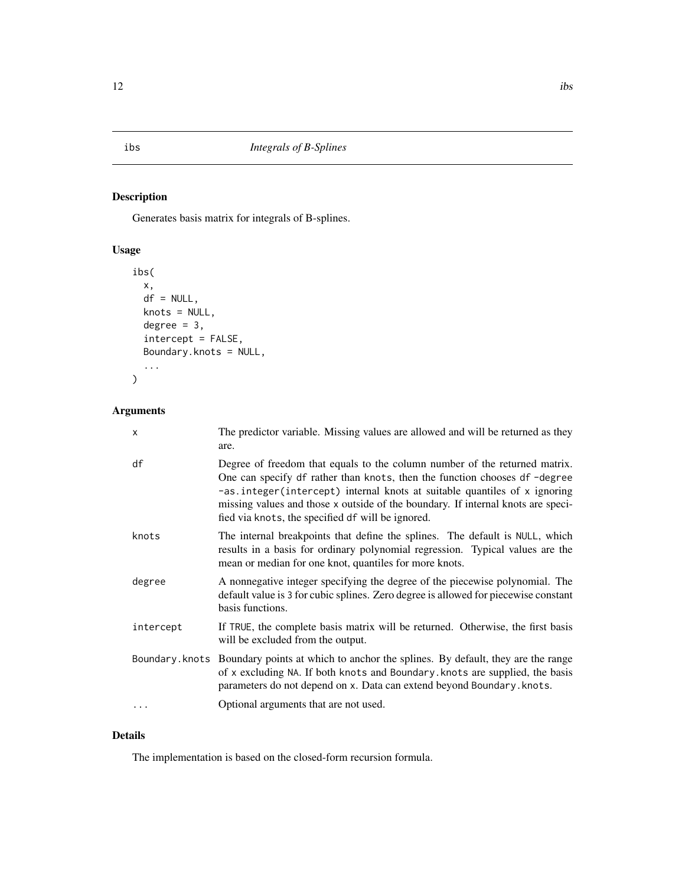<span id="page-11-1"></span><span id="page-11-0"></span>Generates basis matrix for integrals of B-splines.

### Usage

```
ibs(
  x,
 df = NULL,knots = NULL,
 degree = 3,
  intercept = FALSE,
 Boundary.knots = NULL,
  ...
)
```
### Arguments

| $\mathsf{x}$ | The predictor variable. Missing values are allowed and will be returned as they<br>are.                                                                                                                                                                                                                                                                                       |
|--------------|-------------------------------------------------------------------------------------------------------------------------------------------------------------------------------------------------------------------------------------------------------------------------------------------------------------------------------------------------------------------------------|
| df           | Degree of freedom that equals to the column number of the returned matrix.<br>One can specify df rather than knots, then the function chooses df-degree<br>-as.integer(intercept) internal knots at suitable quantiles of x ignoring<br>missing values and those x outside of the boundary. If internal knots are speci-<br>fied via knots, the specified df will be ignored. |
| knots        | The internal breakpoints that define the splines. The default is NULL, which<br>results in a basis for ordinary polynomial regression. Typical values are the<br>mean or median for one knot, quantiles for more knots.                                                                                                                                                       |
| degree       | A nonnegative integer specifying the degree of the piecewise polynomial. The<br>default value is 3 for cubic splines. Zero degree is allowed for piecewise constant<br>basis functions.                                                                                                                                                                                       |
| intercept    | If TRUE, the complete basis matrix will be returned. Otherwise, the first basis<br>will be excluded from the output.                                                                                                                                                                                                                                                          |
|              | Boundary. knots Boundary points at which to anchor the splines. By default, they are the range<br>of x excluding NA. If both knots and Boundary. knots are supplied, the basis<br>parameters do not depend on x. Data can extend beyond Boundary. knots.                                                                                                                      |
| .            | Optional arguments that are not used.                                                                                                                                                                                                                                                                                                                                         |

#### Details

The implementation is based on the closed-form recursion formula.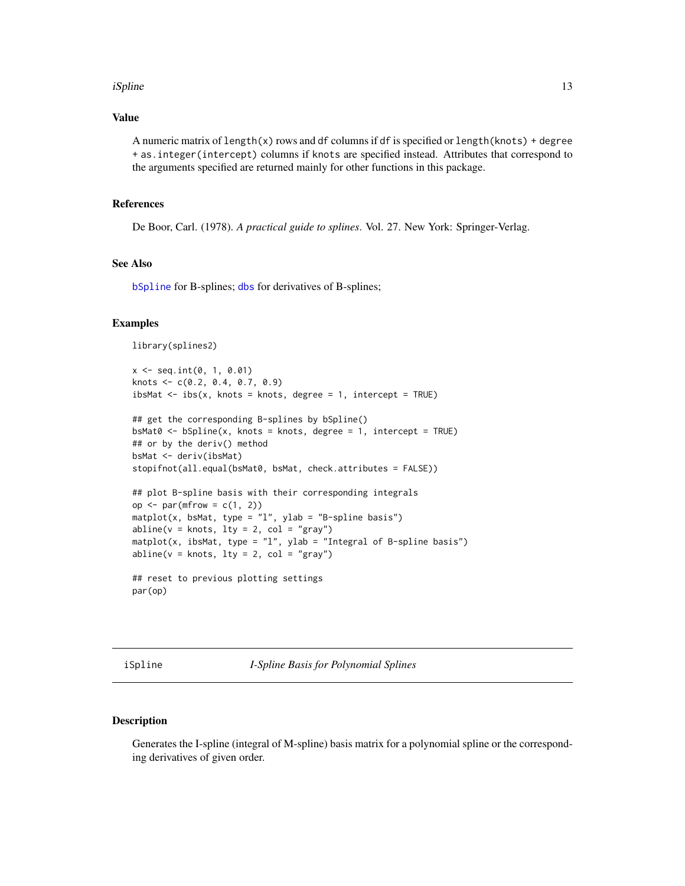#### <span id="page-12-0"></span>iSpline 13

#### Value

A numeric matrix of length(x) rows and df columns if df is specified or length(knots) + degree + as.integer(intercept) columns if knots are specified instead. Attributes that correspond to the arguments specified are returned mainly for other functions in this package.

#### References

De Boor, Carl. (1978). *A practical guide to splines*. Vol. 27. New York: Springer-Verlag.

#### See Also

[bSpline](#page-3-1) for B-splines; [dbs](#page-7-1) for derivatives of B-splines;

#### Examples

library(splines2)

```
x \le - seq.int(0, 1, 0.01)
knots <- c(0.2, 0.4, 0.7, 0.9)
ibsMat \leq ibs(x, knots = knots, degree = 1, intercept = TRUE)
```

```
## get the corresponding B-splines by bSpline()
bsMat0 \leftarrow bSplitne(x, knots = knots, degree = 1, intercept = TRUE)## or by the deriv() method
bsMat <- deriv(ibsMat)
stopifnot(all.equal(bsMat0, bsMat, check.attributes = FALSE))
```

```
## plot B-spline basis with their corresponding integrals
op \leq par(mfrow = c(1, 2))
matplot(x, bsMat, type = "l", ylab = "B-spline basis")abline(v = knots, lty = 2, col = "gray")mathot(x, ibsMat, type = "l", ylab = "Integral of B-spline basis")abline(v = knots, lty = 2, col = "gray")
```

```
## reset to previous plotting settings
par(op)
```
<span id="page-12-1"></span>iSpline *I-Spline Basis for Polynomial Splines*

#### Description

Generates the I-spline (integral of M-spline) basis matrix for a polynomial spline or the corresponding derivatives of given order.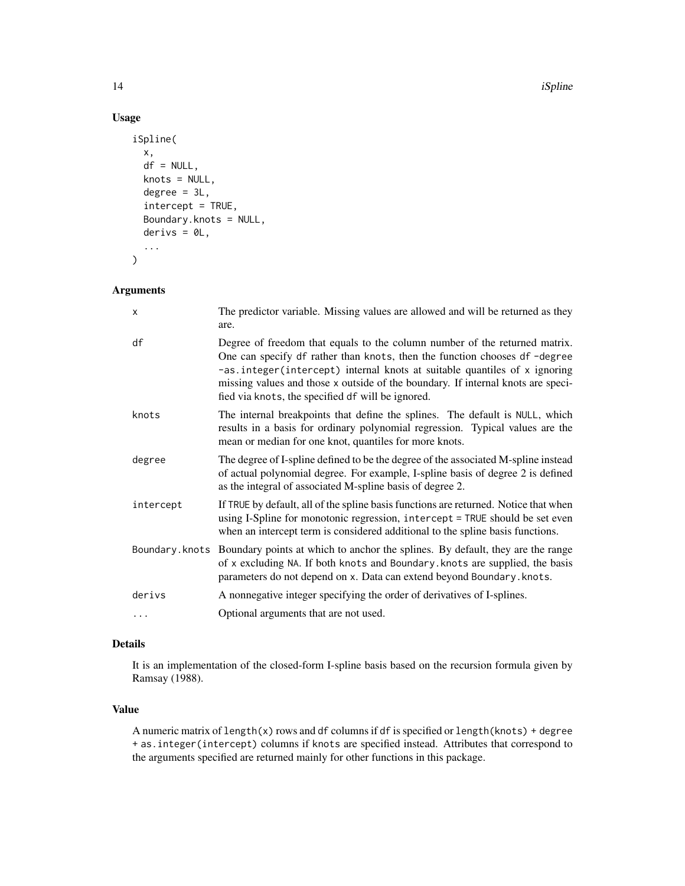#### 14 is a state of the state of the state of the state of the state of the state of the state of the state of the state of the state of the state of the state of the state of the state of the state of the state of the state

#### Usage

```
iSpline(
  x,
  df = NULL,knots = NULL,
  degree = 3L,
  intercept = TRUE,
  Boundary.knots = NULL,
  derivs = 0L,
  ...
\overline{\phantom{a}}
```
#### Arguments

| $\times$  | The predictor variable. Missing values are allowed and will be returned as they<br>are.                                                                                                                                                                                                                                                                                       |
|-----------|-------------------------------------------------------------------------------------------------------------------------------------------------------------------------------------------------------------------------------------------------------------------------------------------------------------------------------------------------------------------------------|
| df        | Degree of freedom that equals to the column number of the returned matrix.<br>One can specify df rather than knots, then the function chooses df-degree<br>-as.integer(intercept) internal knots at suitable quantiles of x ignoring<br>missing values and those x outside of the boundary. If internal knots are speci-<br>fied via knots, the specified df will be ignored. |
| knots     | The internal breakpoints that define the splines. The default is NULL, which<br>results in a basis for ordinary polynomial regression. Typical values are the<br>mean or median for one knot, quantiles for more knots.                                                                                                                                                       |
| degree    | The degree of I-spline defined to be the degree of the associated M-spline instead<br>of actual polynomial degree. For example, I-spline basis of degree 2 is defined<br>as the integral of associated M-spline basis of degree 2.                                                                                                                                            |
| intercept | If TRUE by default, all of the spline basis functions are returned. Notice that when<br>using I-Spline for monotonic regression, intercept = TRUE should be set even<br>when an intercept term is considered additional to the spline basis functions.                                                                                                                        |
|           | Boundary. knots Boundary points at which to anchor the splines. By default, they are the range<br>of x excluding NA. If both knots and Boundary. knots are supplied, the basis<br>parameters do not depend on x. Data can extend beyond Boundary. knots.                                                                                                                      |
| derivs    | A nonnegative integer specifying the order of derivatives of I-splines.                                                                                                                                                                                                                                                                                                       |
| .         | Optional arguments that are not used.                                                                                                                                                                                                                                                                                                                                         |

#### Details

It is an implementation of the closed-form I-spline basis based on the recursion formula given by Ramsay (1988).

#### Value

A numeric matrix of length(x) rows and df columns if df is specified or length(knots) + degree + as.integer(intercept) columns if knots are specified instead. Attributes that correspond to the arguments specified are returned mainly for other functions in this package.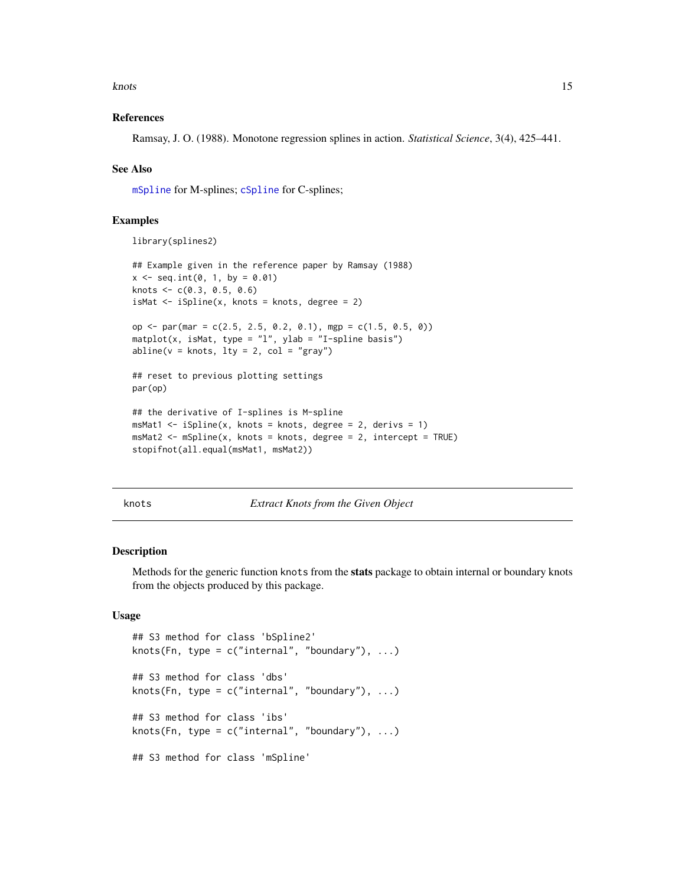<span id="page-14-0"></span>knots and the set of the set of the set of the set of the set of the set of the set of the set of the set of the set of the set of the set of the set of the set of the set of the set of the set of the set of the set of the

#### References

Ramsay, J. O. (1988). Monotone regression splines in action. *Statistical Science*, 3(4), 425–441.

#### See Also

[mSpline](#page-15-1) for M-splines; [cSpline](#page-5-1) for C-splines;

#### Examples

library(splines2)

```
## Example given in the reference paper by Ramsay (1988)
x \le - seq.int(0, 1, by = 0.01)
knots <- c(0.3, 0.5, 0.6)
isMat \leftarrow iSpliter(x, knots = knots, degree = 2)op <- par(mar = c(2.5, 2.5, 0.2, 0.1), mgp = c(1.5, 0.5, 0))
\text{matplot}(x, \text{ isMat}, \text{ type} = "1", \text{ ylab} = "I-spline basis")abline(v = knots, lty = 2, col = "gray")## reset to previous plotting settings
par(op)
## the derivative of I-splines is M-spline
msMat1 \leftarrow iSplite(x, knots = knots, degree = 2, derives = 1)msMat2 < - mSplitne(x, knots = knots, degree = 2, intercept = TRUE)stopifnot(all.equal(msMat1, msMat2))
```
knots *Extract Knots from the Given Object*

#### Description

Methods for the generic function knots from the stats package to obtain internal or boundary knots from the objects produced by this package.

#### Usage

```
## S3 method for class 'bSpline2'
knots(Fn, type = c("internal", "boundary"), ...)## S3 method for class 'dbs'
knots(Fn, type = c("internal", "boundary"), ...)
## S3 method for class 'ibs'
knots(Fn, type = c("internal", "boundary"), ...)## S3 method for class 'mSpline'
```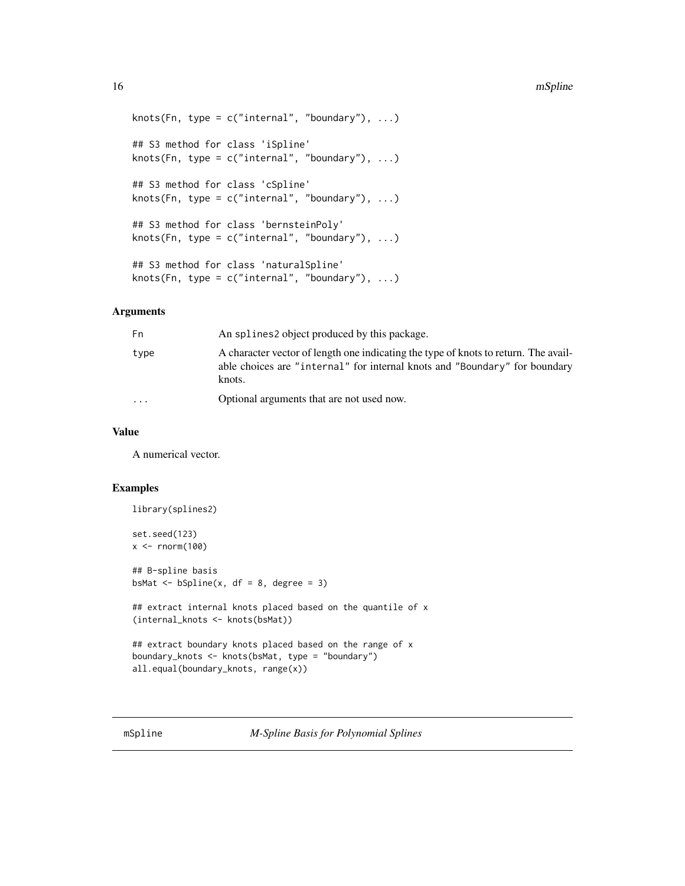```
knots(Fn, type = c("internal", "boundary"), ...)
## S3 method for class 'iSpline'
knots(Fn, type = c("internal", "boundary"), ...)
## S3 method for class 'cSpline'
knots(Fn, type = c("internal", "boundary"), ...)## S3 method for class 'bernsteinPoly'
knots(Fn, type = c("internal", "boundary"), ...)
## S3 method for class 'naturalSpline'
knots(Fn, type = c("internal", "boundary"), ...)
```
#### Arguments

| Fn        | An splines object produced by this package.                                                                                                                                 |
|-----------|-----------------------------------------------------------------------------------------------------------------------------------------------------------------------------|
| type      | A character vector of length one indicating the type of knots to return. The avail-<br>able choices are "internal" for internal knots and "Boundary" for boundary<br>knots. |
| $\ddotsc$ | Optional arguments that are not used now.                                                                                                                                   |

#### Value

A numerical vector.

#### Examples

```
library(splines2)
set.seed(123)
x < - rnorm(100)
## B-spline basis
bsMat \leftarrow bSpline(x, df = 8, degree = 3)
## extract internal knots placed based on the quantile of x
(internal_knots <- knots(bsMat))
## extract boundary knots placed based on the range of x
boundary_knots <- knots(bsMat, type = "boundary")
all.equal(boundary_knots, range(x))
```
<span id="page-15-1"></span>mSpline *M-Spline Basis for Polynomial Splines*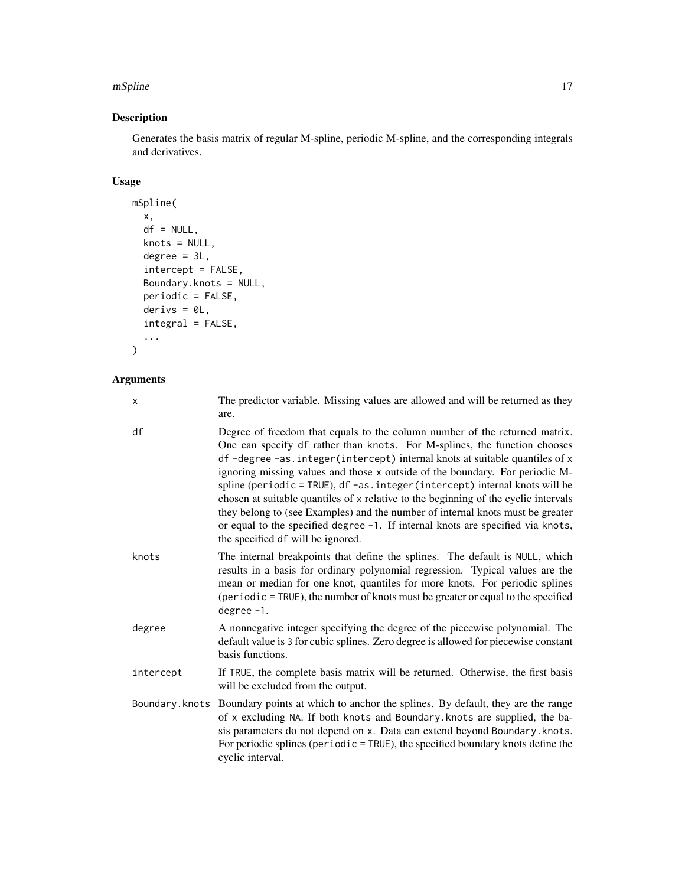#### mSpline that the state of the state of the state of the state of the state of the state of the state of the state of the state of the state of the state of the state of the state of the state of the state of the state of t

#### Description

Generates the basis matrix of regular M-spline, periodic M-spline, and the corresponding integrals and derivatives.

#### Usage

```
mSpline(
  x,
  df = NULL,knots = NULL,
  degree = 3L,
  intercept = FALSE,
  Boundary.knots = NULL,
  periodic = FALSE,
  derivs = \thetaL,
  integral = FALSE,
  ...
\mathcal{L}
```

| x         | The predictor variable. Missing values are allowed and will be returned as they<br>are.                                                                                                                                                                                                                                                                                                                                                                                                                                                                                                                                                                                                               |
|-----------|-------------------------------------------------------------------------------------------------------------------------------------------------------------------------------------------------------------------------------------------------------------------------------------------------------------------------------------------------------------------------------------------------------------------------------------------------------------------------------------------------------------------------------------------------------------------------------------------------------------------------------------------------------------------------------------------------------|
| df        | Degree of freedom that equals to the column number of the returned matrix.<br>One can specify df rather than knots. For M-splines, the function chooses<br>df -degree -as.integer(intercept) internal knots at suitable quantiles of x<br>ignoring missing values and those x outside of the boundary. For periodic M-<br>spline (periodic = TRUE), df -as.integer(intercept) internal knots will be<br>chosen at suitable quantiles of x relative to the beginning of the cyclic intervals<br>they belong to (see Examples) and the number of internal knots must be greater<br>or equal to the specified degree -1. If internal knots are specified via knots,<br>the specified df will be ignored. |
| knots     | The internal breakpoints that define the splines. The default is NULL, which<br>results in a basis for ordinary polynomial regression. Typical values are the<br>mean or median for one knot, quantiles for more knots. For periodic splines<br>(periodic = TRUE), the number of knots must be greater or equal to the specified<br>degree $-1$ .                                                                                                                                                                                                                                                                                                                                                     |
| degree    | A nonnegative integer specifying the degree of the piecewise polynomial. The<br>default value is 3 for cubic splines. Zero degree is allowed for piecewise constant<br>basis functions.                                                                                                                                                                                                                                                                                                                                                                                                                                                                                                               |
| intercept | If TRUE, the complete basis matrix will be returned. Otherwise, the first basis<br>will be excluded from the output.                                                                                                                                                                                                                                                                                                                                                                                                                                                                                                                                                                                  |
|           | Boundary. knots Boundary points at which to anchor the splines. By default, they are the range<br>of x excluding NA. If both knots and Boundary. knots are supplied, the ba-<br>sis parameters do not depend on x. Data can extend beyond Boundary. knots.<br>For periodic splines (periodic $=$ TRUE), the specified boundary knots define the<br>cyclic interval.                                                                                                                                                                                                                                                                                                                                   |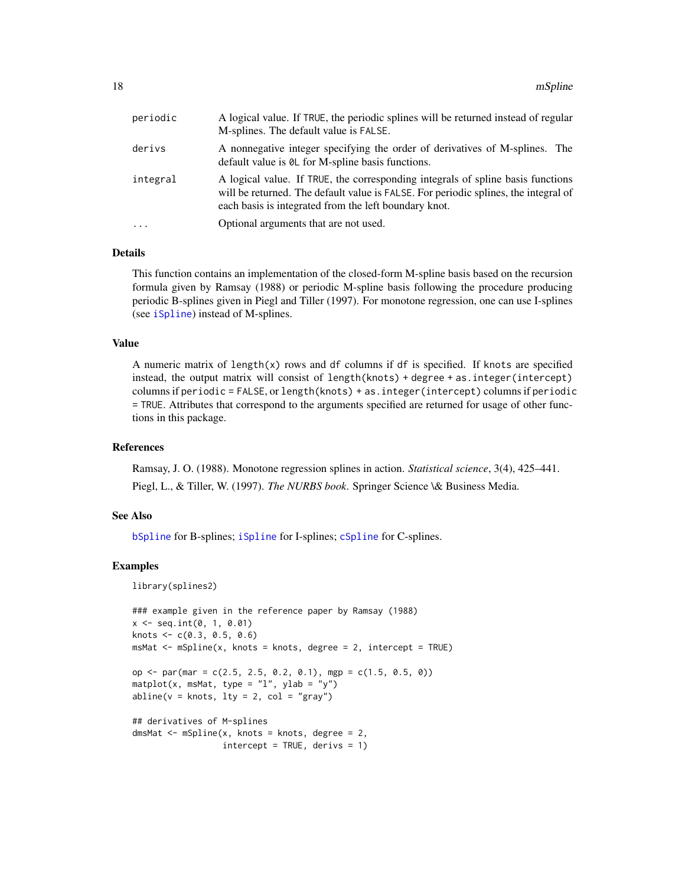<span id="page-17-0"></span>

| periodic | A logical value. If TRUE, the periodic splines will be returned instead of regular<br>M-splines. The default value is FALSE.                                                                                                    |
|----------|---------------------------------------------------------------------------------------------------------------------------------------------------------------------------------------------------------------------------------|
| derivs   | A nonnegative integer specifying the order of derivatives of M-splines. The<br>default value is $\theta$ L for M-spline basis functions.                                                                                        |
| integral | A logical value. If TRUE, the corresponding integrals of spline basis functions<br>will be returned. The default value is FALSE. For periodic splines, the integral of<br>each basis is integrated from the left boundary knot. |
| $\cdot$  | Optional arguments that are not used.                                                                                                                                                                                           |

#### Details

This function contains an implementation of the closed-form M-spline basis based on the recursion formula given by Ramsay (1988) or periodic M-spline basis following the procedure producing periodic B-splines given in Piegl and Tiller (1997). For monotone regression, one can use I-splines (see [iSpline](#page-12-1)) instead of M-splines.

#### Value

A numeric matrix of length $(x)$  rows and df columns if df is specified. If knots are specified instead, the output matrix will consist of length(knots) + degree + as.integer(intercept) columns if periodic = FALSE, or length(knots) + as.integer(intercept) columns if periodic = TRUE. Attributes that correspond to the arguments specified are returned for usage of other functions in this package.

#### References

Ramsay, J. O. (1988). Monotone regression splines in action. *Statistical science*, 3(4), 425–441. Piegl, L., & Tiller, W. (1997). *The NURBS book*. Springer Science \& Business Media.

#### See Also

[bSpline](#page-3-1) for B-splines; [iSpline](#page-12-1) for I-splines; [cSpline](#page-5-1) for C-splines.

```
library(splines2)
```

```
### example given in the reference paper by Ramsay (1988)
x \le - seq.int(0, 1, 0.01)
knots \leq c(0.3, 0.5, 0.6)msMat <- mSpline(x, knots = knots, degree = 2, intercept = TRUE)
op \le par(mar = c(2.5, 2.5, 0.2, 0.1), mgp = c(1.5, 0.5, 0))
matplot(x, msMat, type = "l", ylab = "y")
abline(v = knots, lty = 2, col = "gray")## derivatives of M-splines
dmsMat <- mSpline(x, knots = knots, degree = 2,
                  intercept = TRUE, derives = 1)
```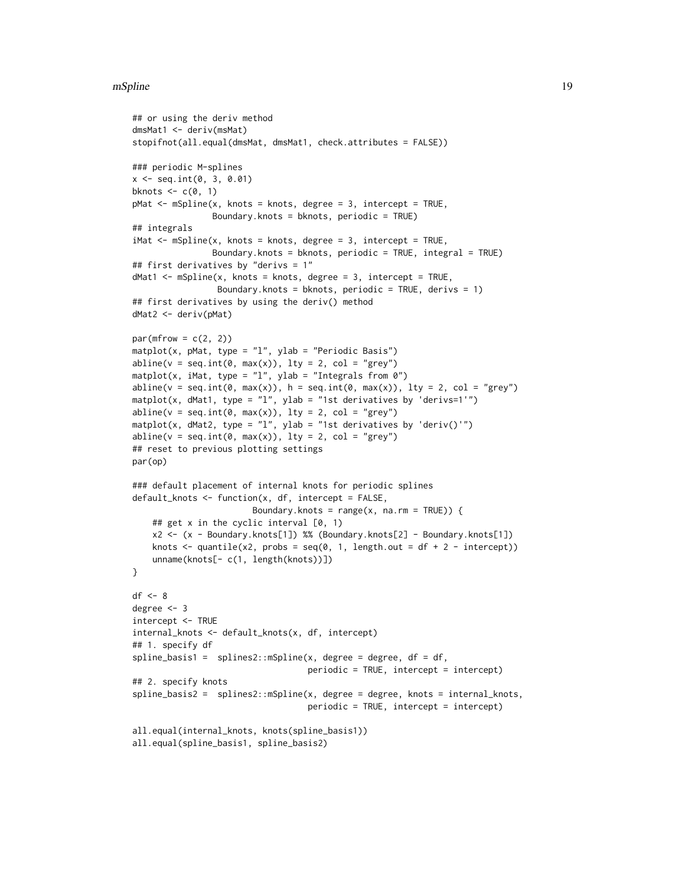#### mSpline 19

```
## or using the deriv method
dmsMat1 <- deriv(msMat)
stopifnot(all.equal(dmsMat, dmsMat1, check.attributes = FALSE))
### periodic M-splines
x \le - seq.int(0, 3, 0.01)
bknots \leq c(0, 1)pMat <- mSpline(x, knots = knots, degree = 3, intercept = TRUE,
                Boundary.knots = bknots, periodic = TRUE)
## integrals
iMat <- mSpline(x, knots = knots, degree = 3, intercept = TRUE,
                Boundary.knots = bknots, periodic = TRUE, integral = TRUE)
## first derivatives by "derivs = 1"
dMat1 \leftarrow mSplite(x, knots = knots, degree = 3, intercept = TRUE,Boundary.knots = bknots, periodic = TRUE, derivs = 1)
## first derivatives by using the deriv() method
dMat2 <- deriv(pMat)
par(mfrow = c(2, 2))matplot(x, pMat, type = "l", ylab = "Periodic Basis")
abline(v = seq.int(0, max(x)), 1ty = 2, col = "grey")matplot(x, iMat, type = "l", ylab = "Integrals from 0")
abline(v = seq.int(0, max(x)), h = seq.int(0, max(x)), lty = 2, col = "grey")matplot(x, dMat1, type = "l", ylab = "1st derivatives by 'derivs=1'")
abline(v = seq.int(0, max(x)), lty = 2, col = "grey")matplot(x, dMat2, type = "l", ylab = "1st derivatives by 'deriv()'")
abline(v = seq.int(0, max(x)), lty = 2, col = "grey")## reset to previous plotting settings
par(op)
### default placement of internal knots for periodic splines
default_knots <- function(x, df, intercept = FALSE,
                        Boundary.knots = range(x, na.rm = TRUE) {
    ## get x in the cyclic interval [0, 1)
    x2 <- (x - Boundary.knots[1]) %% (Boundary.knots[2] - Boundary.knots[1])
    knots \leq quantile(x2, probs = seq(0, 1, length.out = df + 2 - intercept))
    unname(knots[- c(1, length(knots))])
}
df \leftarrow 8degree <- 3
intercept <- TRUE
internal_knots <- default_knots(x, df, intercept)
## 1. specify df
split = \text{basis1 = splines2::mSpline}(x, \text{degree = degree}, \text{df = df},periodic = TRUE, intercept = intercept)
## 2. specify knots
spline_basis2 = splines2::mSpline(x, degree = degree, knots = internal_knots,
                                    periodic = TRUE, intercept = intercept)
all.equal(internal_knots, knots(spline_basis1))
all.equal(spline_basis1, spline_basis2)
```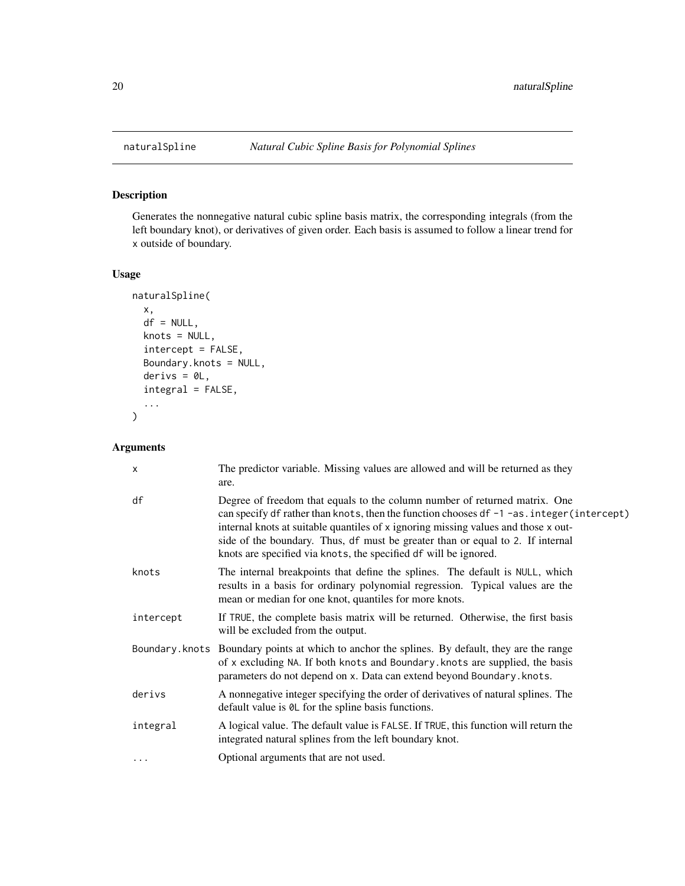<span id="page-19-0"></span>

Generates the nonnegative natural cubic spline basis matrix, the corresponding integrals (from the left boundary knot), or derivatives of given order. Each basis is assumed to follow a linear trend for x outside of boundary.

#### Usage

```
naturalSpline(
  x,
  df = NULL,knots = NULL,
  intercept = FALSE,
 Boundary.knots = NULL,
  derivs = 0L,
  integral = FALSE,
  ...
)
```

| $\times$  | The predictor variable. Missing values are allowed and will be returned as they<br>are.                                                                                                                                                                                                                                                                                                                              |
|-----------|----------------------------------------------------------------------------------------------------------------------------------------------------------------------------------------------------------------------------------------------------------------------------------------------------------------------------------------------------------------------------------------------------------------------|
| df        | Degree of freedom that equals to the column number of returned matrix. One<br>can specify df rather than knots, then the function chooses df -1 -as. integer (intercept)<br>internal knots at suitable quantiles of x ignoring missing values and those x out-<br>side of the boundary. Thus, df must be greater than or equal to 2. If internal<br>knots are specified via knots, the specified df will be ignored. |
| knots     | The internal breakpoints that define the splines. The default is NULL, which<br>results in a basis for ordinary polynomial regression. Typical values are the<br>mean or median for one knot, quantiles for more knots.                                                                                                                                                                                              |
| intercept | If TRUE, the complete basis matrix will be returned. Otherwise, the first basis<br>will be excluded from the output.                                                                                                                                                                                                                                                                                                 |
|           | Boundary. knots Boundary points at which to anchor the splines. By default, they are the range<br>of x excluding NA. If both knots and Boundary. knots are supplied, the basis<br>parameters do not depend on x. Data can extend beyond Boundary. knots.                                                                                                                                                             |
| derivs    | A nonnegative integer specifying the order of derivatives of natural splines. The<br>default value is $\theta$ L for the spline basis functions.                                                                                                                                                                                                                                                                     |
| integral  | A logical value. The default value is FALSE. If TRUE, this function will return the<br>integrated natural splines from the left boundary knot.                                                                                                                                                                                                                                                                       |
|           | Optional arguments that are not used.                                                                                                                                                                                                                                                                                                                                                                                |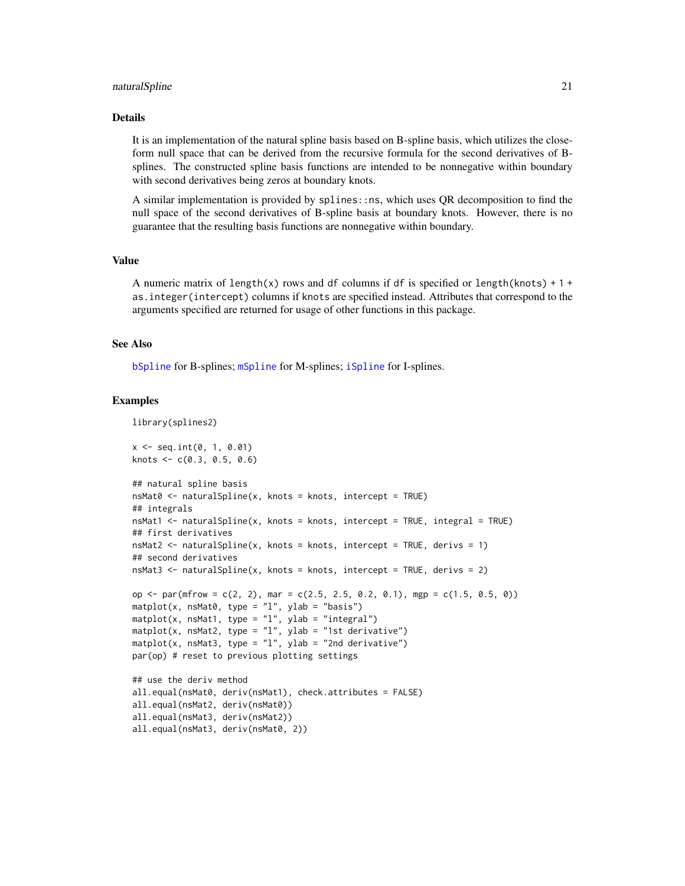#### <span id="page-20-0"></span>naturalSpline 21

#### Details

It is an implementation of the natural spline basis based on B-spline basis, which utilizes the closeform null space that can be derived from the recursive formula for the second derivatives of Bsplines. The constructed spline basis functions are intended to be nonnegative within boundary with second derivatives being zeros at boundary knots.

A similar implementation is provided by splines::ns, which uses QR decomposition to find the null space of the second derivatives of B-spline basis at boundary knots. However, there is no guarantee that the resulting basis functions are nonnegative within boundary.

#### Value

A numeric matrix of length(x) rows and df columns if df is specified or length(knots) + 1 + as.integer(intercept) columns if knots are specified instead. Attributes that correspond to the arguments specified are returned for usage of other functions in this package.

#### See Also

[bSpline](#page-3-1) for B-splines; [mSpline](#page-15-1) for M-splines; [iSpline](#page-12-1) for I-splines.

```
library(splines2)
x \leq - seq.int(0, 1, 0.01)
knots <-c(0.3, 0.5, 0.6)## natural spline basis
nsMat0 <- naturalSpline(x, knots = knots, intercept = TRUE)
## integrals
nsMat1 <- naturalSpline(x, knots = knots, intercept = TRUE, integral = TRUE)
## first derivatives
nsMat2 <- naturalSpline(x, knots = knots, intercept = TRUE, derivs = 1)
## second derivatives
nsMat3 <- naturalSpline(x, knots = knots, intercept = TRUE, derivs = 2)
op \le par(mfrow = c(2, 2), mar = c(2.5, 2.5, 0.2, 0.1), mgp = c(1.5, 0.5, 0))
mathot(x, nsMat0, type = "l", ylab = "basis")\text{maplot}(x, \text{nsMat1}, \text{type} = "1", \text{ylab} = "integral")mathot(x, nsMat2, type = "l", ylab = "1st derivative")matplot(x, nsMat3, type = "l", ylab = "2nd derivative")
par(op) # reset to previous plotting settings
## use the deriv method
all.equal(nsMat0, deriv(nsMat1), check.attributes = FALSE)
all.equal(nsMat2, deriv(nsMat0))
all.equal(nsMat3, deriv(nsMat2))
all.equal(nsMat3, deriv(nsMat0, 2))
```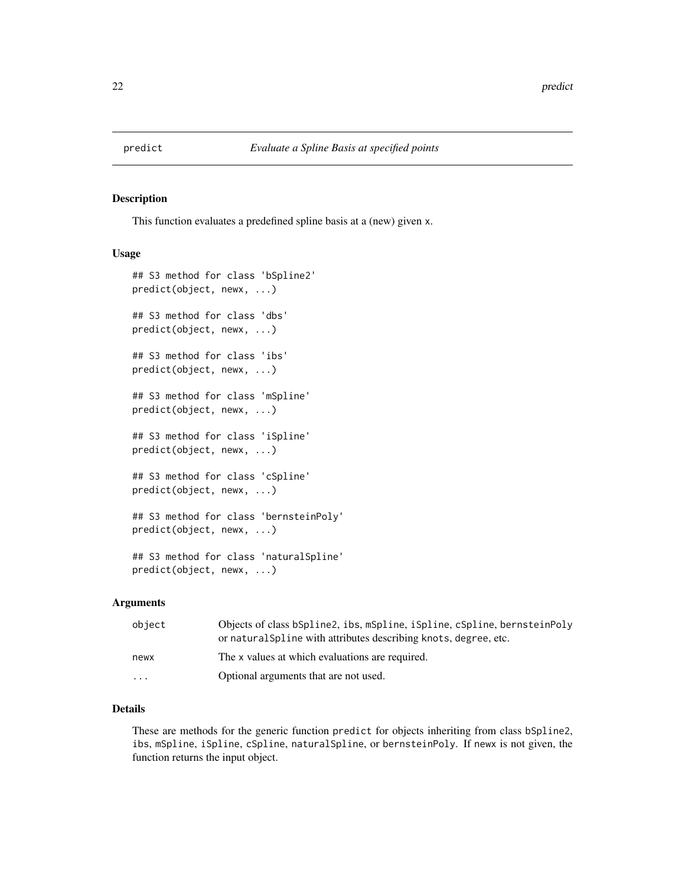<span id="page-21-0"></span>

This function evaluates a predefined spline basis at a (new) given x.

#### Usage

```
## S3 method for class 'bSpline2'
predict(object, newx, ...)
## S3 method for class 'dbs'
predict(object, newx, ...)
## S3 method for class 'ibs'
predict(object, newx, ...)
## S3 method for class 'mSpline'
predict(object, newx, ...)
## S3 method for class 'iSpline'
predict(object, newx, ...)
## S3 method for class 'cSpline'
predict(object, newx, ...)
## S3 method for class 'bernsteinPoly'
predict(object, newx, ...)
## S3 method for class 'naturalSpline'
predict(object, newx, ...)
```
#### Arguments

| object   | Objects of class bSpline2, ibs, mSpline, iSpline, cSpline, bernsteinPoly<br>or natural Spline with attributes describing knots, degree, etc. |
|----------|----------------------------------------------------------------------------------------------------------------------------------------------|
| newx     | The x values at which evaluations are required.                                                                                              |
| $\cdots$ | Optional arguments that are not used.                                                                                                        |

#### Details

These are methods for the generic function predict for objects inheriting from class bSpline2, ibs, mSpline, iSpline, cSpline, naturalSpline, or bernsteinPoly. If newx is not given, the function returns the input object.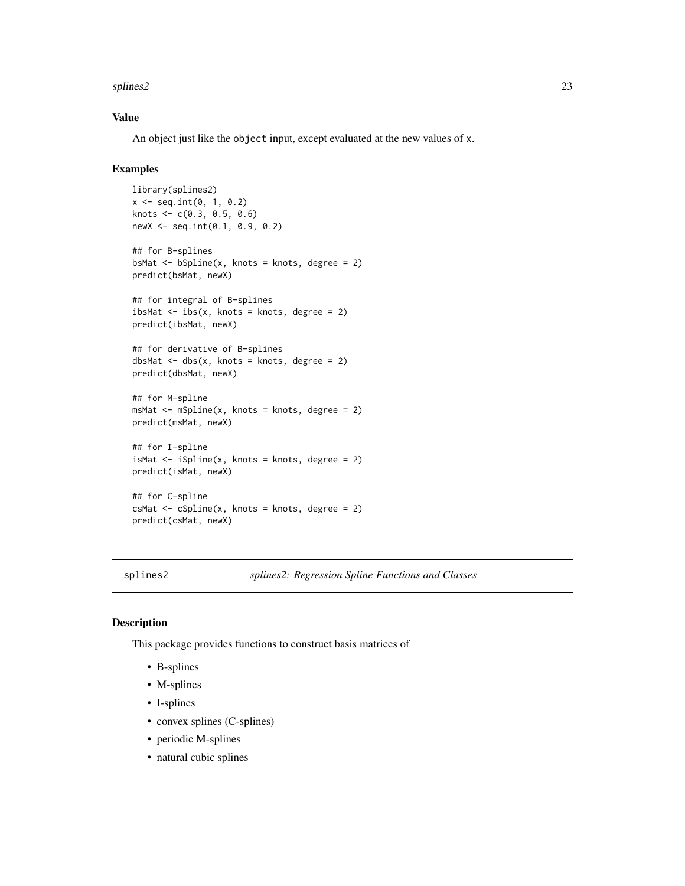#### <span id="page-22-0"></span>splines2 23

#### Value

An object just like the object input, except evaluated at the new values of x.

#### Examples

```
library(splines2)
x \le - seq.int(0, 1, 0.2)
knots <- c(0.3, 0.5, 0.6)
newX <- seq.int(0.1, 0.9, 0.2)
## for B-splines
bsMat \leq bSpline(x, knots = knots, degree = 2)
predict(bsMat, newX)
## for integral of B-splines
ibsMat \leq - ibs(x, knots = knots, degree = 2)
predict(ibsMat, newX)
## for derivative of B-splines
dbsMat \leq dbs(x, knots = knots, degree = 2)
predict(dbsMat, newX)
## for M-spline
msMat <- mSpline(x, knots = knots, degree = 2)
predict(msMat, newX)
## for I-spline
isMat \leftarrow iSpliter(x, knots = knots, degree = 2)predict(isMat, newX)
## for C-spline
csMat <- cSpline(x, knots = knots, degree = 2)
predict(csMat, newX)
```
splines2 *splines2: Regression Spline Functions and Classes*

#### Description

This package provides functions to construct basis matrices of

- B-splines
- M-splines
- I-splines
- convex splines (C-splines)
- periodic M-splines
- natural cubic splines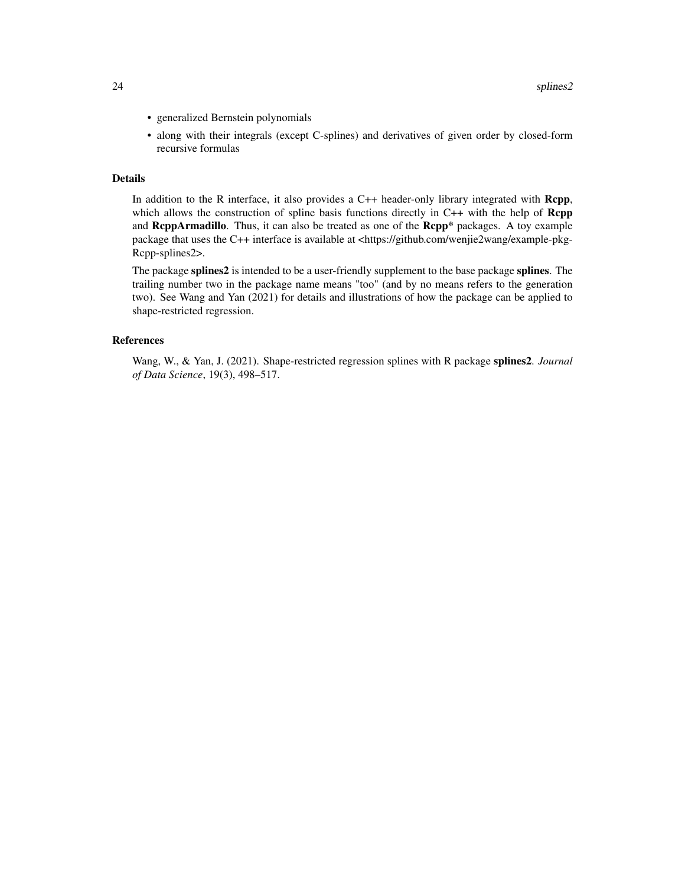- generalized Bernstein polynomials
- along with their integrals (except C-splines) and derivatives of given order by closed-form recursive formulas

#### Details

In addition to the R interface, it also provides a C++ header-only library integrated with Rcpp, which allows the construction of spline basis functions directly in C++ with the help of Rcpp and RcppArmadillo. Thus, it can also be treated as one of the Rcpp\* packages. A toy example package that uses the C++ interface is available at <https://github.com/wenjie2wang/example-pkg-Rcpp-splines2>.

The package splines2 is intended to be a user-friendly supplement to the base package splines. The trailing number two in the package name means "too" (and by no means refers to the generation two). See Wang and Yan (2021) for details and illustrations of how the package can be applied to shape-restricted regression.

#### References

Wang, W., & Yan, J. (2021). Shape-restricted regression splines with R package splines2. *Journal of Data Science*, 19(3), 498–517.